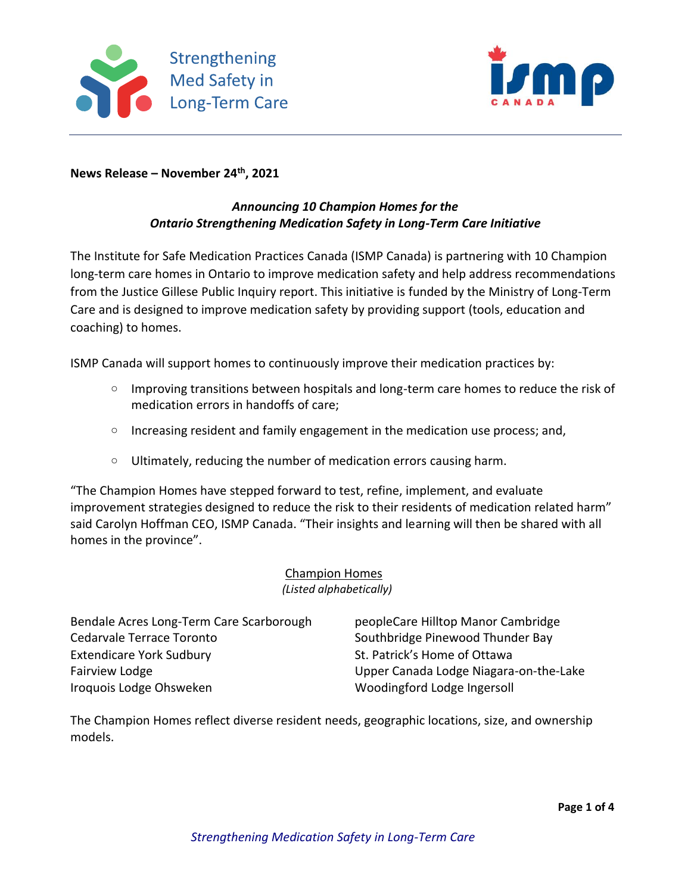



**News Release – November 24th, 2021**

## *Announcing 10 Champion Homes for the Ontario Strengthening Medication Safety in Long-Term Care Initiative*

The Institute for Safe Medication Practices Canada (ISMP Canada) is partnering with 10 Champion long-term care homes in Ontario to improve medication safety and help address recommendations from the Justice Gillese Public Inquiry report. This initiative is funded by the Ministry of Long-Term Care and is designed to improve medication safety by providing support (tools, education and coaching) to homes.

ISMP Canada will support homes to continuously improve their medication practices by:

- $\circ$  Improving transitions between hospitals and long-term care homes to reduce the risk of medication errors in handoffs of care;
- $\circ$  Increasing resident and family engagement in the medication use process; and,
- $\circ$  Ultimately, reducing the number of medication errors causing harm.

"The Champion Homes have stepped forward to test, refine, implement, and evaluate improvement strategies designed to reduce the risk to their residents of medication related harm" said Carolyn Hoffman CEO, ISMP Canada. "Their insights and learning will then be shared with all homes in the province".

## Champion Homes *(Listed alphabetically)*

| Bendale Acres Long-Term Care Scarborough |
|------------------------------------------|
| Cedarvale Terrace Toronto                |
| <b>Extendicare York Sudbury</b>          |
| <b>Fairview Lodge</b>                    |
| Iroquois Lodge Ohsweken                  |

peopleCare Hilltop Manor Cambridge Southbridge Pinewood Thunder Bay St. Patrick's Home of Ottawa Upper Canada Lodge Niagara-on-the-Lake Woodingford Lodge Ingersoll

The Champion Homes reflect diverse resident needs, geographic locations, size, and ownership models.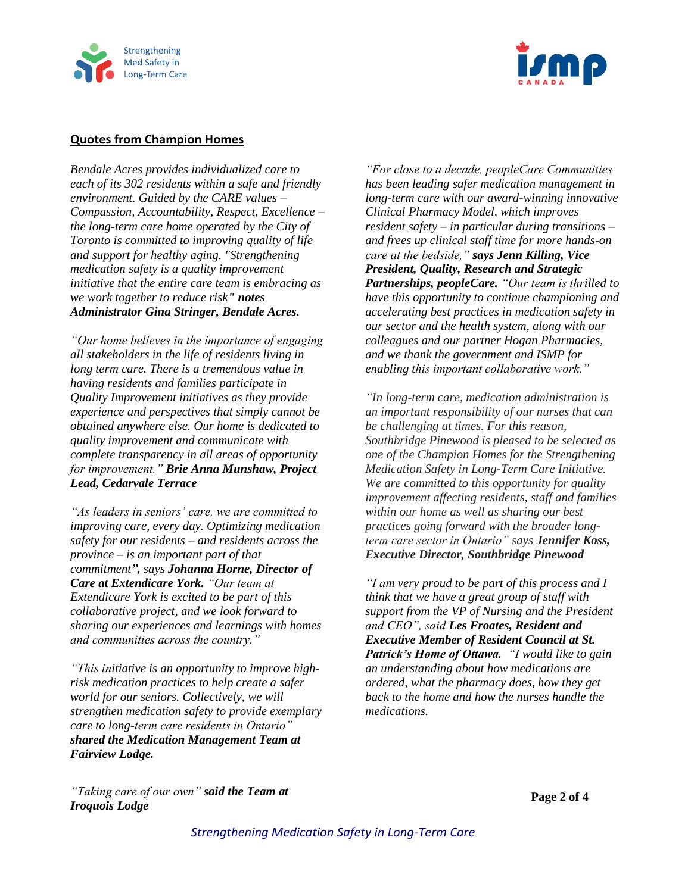



## **Quotes from Champion Homes**

*Bendale Acres provides individualized care to each of its 302 residents within a safe and friendly environment. Guided by the CARE values – Compassion, Accountability, Respect, Excellence – the long-term care home operated by the City of Toronto is committed to improving quality of life and support for healthy aging. "Strengthening medication safety is a quality improvement initiative that the entire care team is embracing as we work together to reduce risk" notes Administrator Gina Stringer, Bendale Acres.*

*"Our home believes in the importance of engaging all stakeholders in the life of residents living in long term care. There is a tremendous value in having residents and families participate in Quality Improvement initiatives as they provide experience and perspectives that simply cannot be obtained anywhere else. Our home is dedicated to quality improvement and communicate with complete transparency in all areas of opportunity for improvement." Brie Anna Munshaw, Project Lead, Cedarvale Terrace*

*"As leaders in seniors' care, we are committed to improving care, every day. Optimizing medication safety for our residents – and residents across the province – is an important part of that commitment", says Johanna Horne, Director of Care at Extendicare York. "Our team at Extendicare York is excited to be part of this collaborative project, and we look forward to sharing our experiences and learnings with homes and communities across the country."* 

*"This initiative is an opportunity to improve highrisk medication practices to help create a safer world for our seniors. Collectively, we will strengthen medication safety to provide exemplary care to long-term care residents in Ontario" shared the Medication Management Team at Fairview Lodge.*

*"For close to a decade, peopleCare Communities has been leading safer medication management in long-term care with our award-winning innovative Clinical Pharmacy Model, which improves resident safety – in particular during transitions – and frees up clinical staff time for more hands-on care at the bedside," says Jenn Killing, Vice President, Quality, Research and Strategic Partnerships, peopleCare. "Our team is thrilled to have this opportunity to continue championing and accelerating best practices in medication safety in our sector and the health system, along with our colleagues and our partner Hogan Pharmacies, and we thank the government and ISMP for enabling this important collaborative work."*

*"In long-term care, medication administration is an important responsibility of our nurses that can be challenging at times. For this reason, Southbridge Pinewood is pleased to be selected as one of the Champion Homes for the Strengthening Medication Safety in Long-Term Care Initiative. We are committed to this opportunity for quality improvement affecting residents, staff and families within our home as well as sharing our best practices going forward with the broader longterm care sector in Ontario" says Jennifer Koss, Executive Director, Southbridge Pinewood*

*"I am very proud to be part of this process and I think that we have a great group of staff with support from the VP of Nursing and the President and CEO", said Les Froates, Resident and Executive Member of Resident Council at St. Patrick's Home of Ottawa. "I would like to gain an understanding about how medications are ordered, what the pharmacy does, how they get back to the home and how the nurses handle the medications.*

*"Taking care of our own" said the Team at Iroquois Lodge*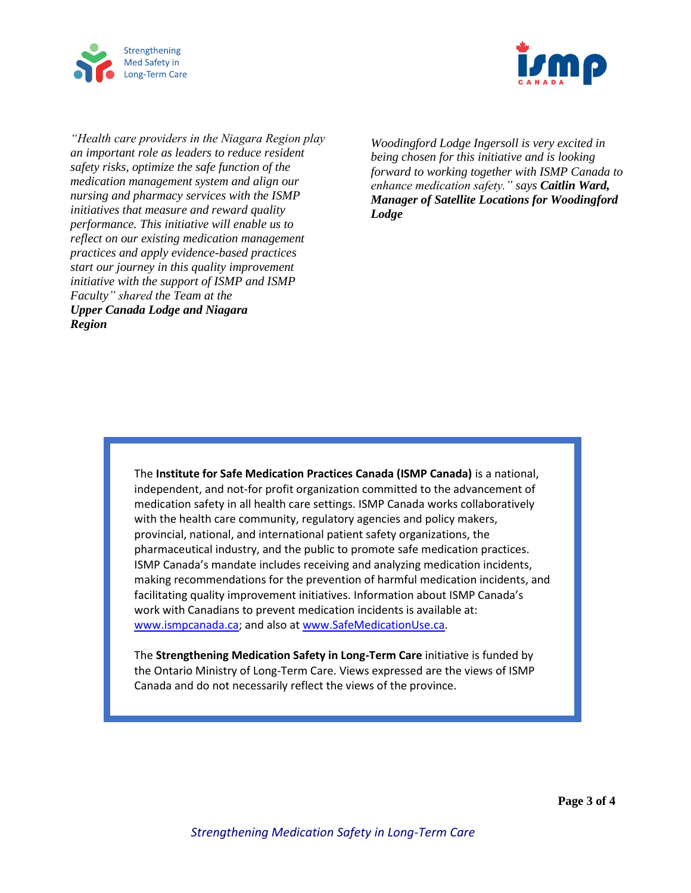



*"Health care providers in the Niagara Region play an important role as leaders to reduce resident safety risks, optimize the safe function of the medication management system and align our nursing and pharmacy services with the ISMP initiatives that measure and reward quality performance. This initiative will enable us to reflect on our existing medication management practices and apply evidence-based practices start our journey in this quality improvement initiative with the support of ISMP and ISMP Faculty" shared the Team at the Upper Canada Lodge and Niagara Region*

*Woodingford Lodge Ingersoll is very excited in being chosen for this initiative and is looking forward to working together with ISMP Canada to enhance medication safety." says Caitlin Ward, Manager of Satellite Locations for Woodingford Lodge*

The **Institute for Safe Medication Practices Canada (ISMP Canada)** is a national, independent, and not-for profit organization committed to the advancement of medication safety in all health care settings. ISMP Canada works collaboratively with the health care community, regulatory agencies and policy makers, provincial, national, and international patient safety organizations, the pharmaceutical industry, and the public to promote safe medication practices. ISMP Canada's mandate includes receiving and analyzing medication incidents, making recommendations for the prevention of harmful medication incidents, and facilitating quality improvement initiatives. Information about ISMP Canada's work with Canadians to prevent medication incidents is available at: [www.ismpcanada.ca;](http://www.ismpcanada.ca/) and also at [www.SafeMedicationUse.ca.](http://www.safemedicationuse.ca/)

The **Strengthening Medication Safety in Long-Term Care** initiative is funded by the Ontario Ministry of Long-Term Care. Views expressed are the views of ISMP Canada and do not necessarily reflect the views of the province.